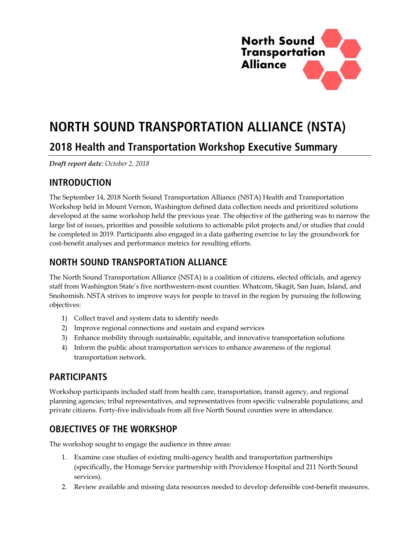

# **NORTH SOUND TRANSPORTATION ALLIANCE (NSTA)**

## **2018 Health and Transportation Workshop Executive Summary**

*Draft report date: October 2, 2018* 

#### **INTRODUCTION**

The September 14, 2018 North Sound Transportation Alliance (NSTA) Health and Transportation Workshop held in Mount Vernon, Washington defined data collection needs and prioritized solutions developed at the same workshop held the previous year. The objective of the gathering was to narrow the large list of issues, priorities and possible solutions to actionable pilot projects and/or studies that could be completed in 2019. Participants also engaged in a data gathering exercise to lay the groundwork for cost-benefit analyses and performance metrics for resulting efforts.

## **NORTH SOUND TRANSPORTATION ALLIANCE**

The North Sound Transportation Alliance (NSTA) is a coalition of citizens, elected officials, and agency staff from Washington State's five northwestern-most counties: Whatcom, Skagit, San Juan, Island, and Snohomish. NSTA strives to improve ways for people to travel in the region by pursuing the following objectives:

- 1) Collect travel and system data to identify needs
- 2) Improve regional connections and sustain and expand services
- 3) Enhance mobility through sustainable, equitable, and innovative transportation solutions
- 4) Inform the public about transportation services to enhance awareness of the regional transportation network.

## **PARTICIPANTS**

Workshop participants included staff from health care, transportation, transit agency, and regional planning agencies; tribal representatives, and representatives from specific vulnerable populations; and private citizens. Forty-five individuals from all five North Sound counties were in attendance.

## **OBJECTIVES OF THE WORKSHOP**

The workshop sought to engage the audience in three areas:

- 1. Examine case studies of existing multi-agency health and transportation partnerships (specifically, the Homage Service partnership with Providence Hospital and 211 North Sound services).
- 2. Review available and missing data resources needed to develop defensible cost-benefit measures.